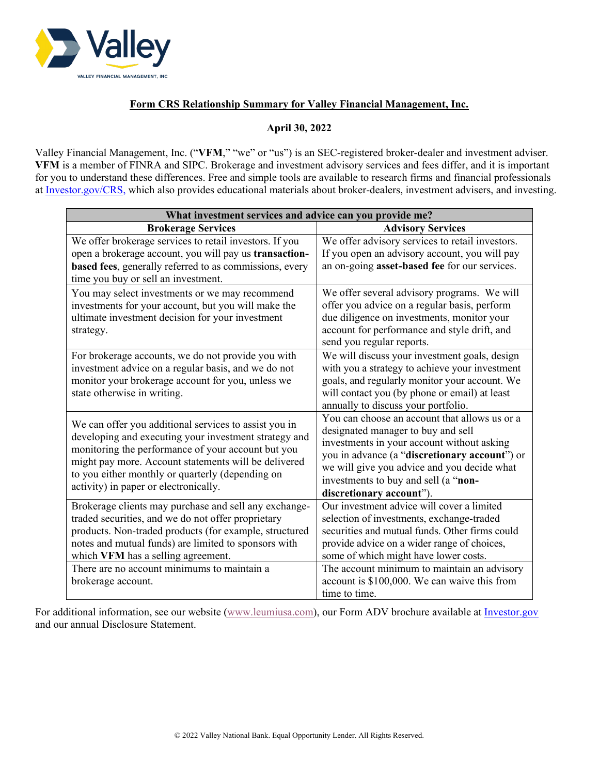

# **Form CRS Relationship Summary for Valley Financial Management, Inc.**

## **April 30, 2022**

Valley Financial Management, Inc. ("**VFM**," "we" or "us") is an SEC-registered broker-dealer and investment adviser. **VFM** is a member of FINRA and SIPC. Brokerage and investment advisory services and fees differ, and it is important for you to understand these differences. Free and simple tools are available to research firms and financial professionals at [Investor.gov/CRS,](http://investor.gov/CRS,) which also provides educational materials about broker-dealers, investment advisers, and investing.

| What investment services and advice can you provide me?                                                                                                                                                                                                                                                                   |                                                                                                                                                                                                                                                                                                       |
|---------------------------------------------------------------------------------------------------------------------------------------------------------------------------------------------------------------------------------------------------------------------------------------------------------------------------|-------------------------------------------------------------------------------------------------------------------------------------------------------------------------------------------------------------------------------------------------------------------------------------------------------|
| <b>Brokerage Services</b>                                                                                                                                                                                                                                                                                                 | <b>Advisory Services</b>                                                                                                                                                                                                                                                                              |
| We offer brokerage services to retail investors. If you<br>open a brokerage account, you will pay us transaction-<br>based fees, generally referred to as commissions, every<br>time you buy or sell an investment.                                                                                                       | We offer advisory services to retail investors.<br>If you open an advisory account, you will pay<br>an on-going asset-based fee for our services.                                                                                                                                                     |
| You may select investments or we may recommend<br>investments for your account, but you will make the<br>ultimate investment decision for your investment<br>strategy.                                                                                                                                                    | We offer several advisory programs. We will<br>offer you advice on a regular basis, perform<br>due diligence on investments, monitor your<br>account for performance and style drift, and<br>send you regular reports.                                                                                |
| For brokerage accounts, we do not provide you with<br>investment advice on a regular basis, and we do not<br>monitor your brokerage account for you, unless we<br>state otherwise in writing.                                                                                                                             | We will discuss your investment goals, design<br>with you a strategy to achieve your investment<br>goals, and regularly monitor your account. We<br>will contact you (by phone or email) at least<br>annually to discuss your portfolio.                                                              |
| We can offer you additional services to assist you in<br>developing and executing your investment strategy and<br>monitoring the performance of your account but you<br>might pay more. Account statements will be delivered<br>to you either monthly or quarterly (depending on<br>activity) in paper or electronically. | You can choose an account that allows us or a<br>designated manager to buy and sell<br>investments in your account without asking<br>you in advance (a "discretionary account") or<br>we will give you advice and you decide what<br>investments to buy and sell (a "non-<br>discretionary account"). |
| Brokerage clients may purchase and sell any exchange-<br>traded securities, and we do not offer proprietary<br>products. Non-traded products (for example, structured<br>notes and mutual funds) are limited to sponsors with<br>which VFM has a selling agreement.                                                       | Our investment advice will cover a limited<br>selection of investments, exchange-traded<br>securities and mutual funds. Other firms could<br>provide advice on a wider range of choices,<br>some of which might have lower costs.                                                                     |
| There are no account minimums to maintain a<br>brokerage account.                                                                                                                                                                                                                                                         | The account minimum to maintain an advisory<br>account is \$100,000. We can waive this from<br>time to time.                                                                                                                                                                                          |

For additional information, see our website [\(www.leumiusa.com\)](http://www.leumiusa.com/), our Form ADV brochure available at [Investor.gov](http://investor.gov/) and our annual Disclosure Statement.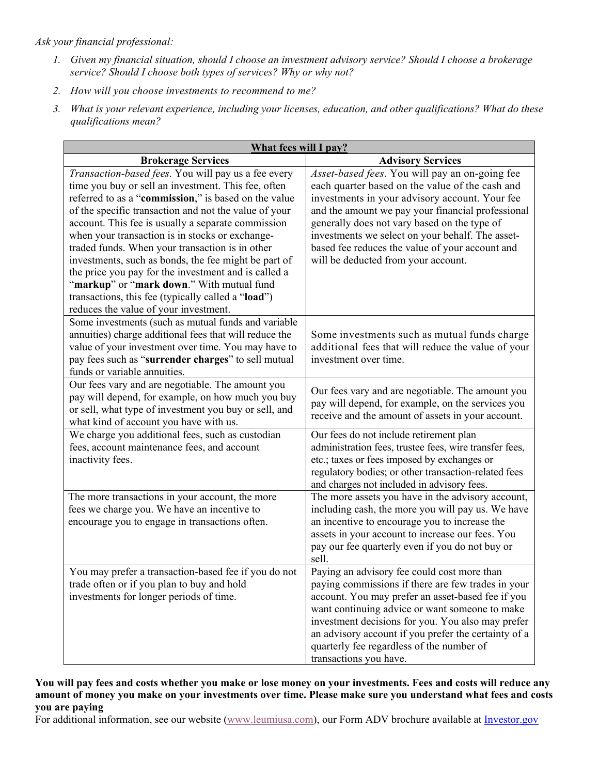# *Ask your financial professional:*

- *1. Given my financial situation, should I choose an investment advisory service? Should I choose a brokerage service? Should I choose both types of services? Why or why not?*
- *2. How will you choose investments to recommend to me?*
- *3. What is your relevant experience, including your licenses, education, and other qualifications? What do these qualifications mean?*

| What fees will I pay?                                                                                                                                                                                                                                                                                                                                                                                                                                                                                                                                                                                                                               |                                                                                                                                                                                                                                                                                                                                                                                                        |
|-----------------------------------------------------------------------------------------------------------------------------------------------------------------------------------------------------------------------------------------------------------------------------------------------------------------------------------------------------------------------------------------------------------------------------------------------------------------------------------------------------------------------------------------------------------------------------------------------------------------------------------------------------|--------------------------------------------------------------------------------------------------------------------------------------------------------------------------------------------------------------------------------------------------------------------------------------------------------------------------------------------------------------------------------------------------------|
| <b>Brokerage Services</b>                                                                                                                                                                                                                                                                                                                                                                                                                                                                                                                                                                                                                           | <b>Advisory Services</b>                                                                                                                                                                                                                                                                                                                                                                               |
| Transaction-based fees. You will pay us a fee every<br>time you buy or sell an investment. This fee, often<br>referred to as a "commission," is based on the value<br>of the specific transaction and not the value of your<br>account. This fee is usually a separate commission<br>when your transaction is in stocks or exchange-<br>traded funds. When your transaction is in other<br>investments, such as bonds, the fee might be part of<br>the price you pay for the investment and is called a<br>"markup" or "mark down." With mutual fund<br>transactions, this fee (typically called a "load")<br>reduces the value of your investment. | Asset-based fees. You will pay an on-going fee<br>each quarter based on the value of the cash and<br>investments in your advisory account. Your fee<br>and the amount we pay your financial professional<br>generally does not vary based on the type of<br>investments we select on your behalf. The asset-<br>based fee reduces the value of your account and<br>will be deducted from your account. |
| Some investments (such as mutual funds and variable<br>annuities) charge additional fees that will reduce the<br>value of your investment over time. You may have to<br>pay fees such as "surrender charges" to sell mutual<br>funds or variable annuities.                                                                                                                                                                                                                                                                                                                                                                                         | Some investments such as mutual funds charge<br>additional fees that will reduce the value of your<br>investment over time.                                                                                                                                                                                                                                                                            |
| Our fees vary and are negotiable. The amount you<br>pay will depend, for example, on how much you buy<br>or sell, what type of investment you buy or sell, and<br>what kind of account you have with us.                                                                                                                                                                                                                                                                                                                                                                                                                                            | Our fees vary and are negotiable. The amount you<br>pay will depend, for example, on the services you<br>receive and the amount of assets in your account.                                                                                                                                                                                                                                             |
| We charge you additional fees, such as custodian<br>fees, account maintenance fees, and account<br>inactivity fees.                                                                                                                                                                                                                                                                                                                                                                                                                                                                                                                                 | Our fees do not include retirement plan<br>administration fees, trustee fees, wire transfer fees,<br>etc.; taxes or fees imposed by exchanges or<br>regulatory bodies; or other transaction-related fees<br>and charges not included in advisory fees.                                                                                                                                                 |
| The more transactions in your account, the more<br>fees we charge you. We have an incentive to<br>encourage you to engage in transactions often.                                                                                                                                                                                                                                                                                                                                                                                                                                                                                                    | The more assets you have in the advisory account,<br>including cash, the more you will pay us. We have<br>an incentive to encourage you to increase the<br>assets in your account to increase our fees. You<br>pay our fee quarterly even if you do not buy or<br>sell.                                                                                                                                |
| You may prefer a transaction-based fee if you do not<br>trade often or if you plan to buy and hold<br>investments for longer periods of time.                                                                                                                                                                                                                                                                                                                                                                                                                                                                                                       | Paying an advisory fee could cost more than<br>paying commissions if there are few trades in your<br>account. You may prefer an asset-based fee if you<br>want continuing advice or want someone to make<br>investment decisions for you. You also may prefer<br>an advisory account if you prefer the certainty of a<br>quarterly fee regardless of the number of<br>transactions you have.           |

**You will pay fees and costs whether you make or lose money on your investments. Fees and costs will reduce any amount of money you make on your investments over time. Please make sure you understand what fees and costs you are paying**

For additional information, see our website [\(www.leumiusa.com\)](http://www.leumiusa.com/), our Form ADV brochure available at [Investor.gov](http://investor.gov/)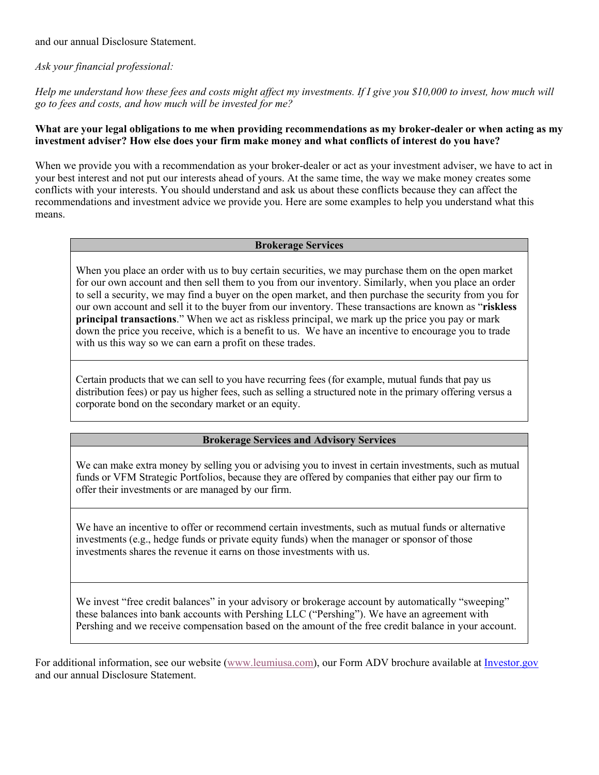and our annual Disclosure Statement.

*Ask your financial professional:*

*Help me understand how these fees and costs might affect my investments. If I give you \$10,000 to invest, how much will go to fees and costs, and how much will be invested for me?*

## **What are your legal obligations to me when providing recommendations as my broker-dealer or when acting as my investment adviser? How else does your firm make money and what conflicts of interest do you have?**

When we provide you with a recommendation as your broker-dealer or act as your investment adviser, we have to act in your best interest and not put our interests ahead of yours. At the same time, the way we make money creates some conflicts with your interests. You should understand and ask us about these conflicts because they can affect the recommendations and investment advice we provide you. Here are some examples to help you understand what this means.

#### **Brokerage Services**

When you place an order with us to buy certain securities, we may purchase them on the open market for our own account and then sell them to you from our inventory. Similarly, when you place an order to sell a security, we may find a buyer on the open market, and then purchase the security from you for our own account and sell it to the buyer from our inventory. These transactions are known as "**riskless principal transactions**." When we act as riskless principal, we mark up the price you pay or mark down the price you receive, which is a benefit to us. We have an incentive to encourage you to trade with us this way so we can earn a profit on these trades.

Certain products that we can sell to you have recurring fees (for example, mutual funds that pay us distribution fees) or pay us higher fees, such as selling a structured note in the primary offering versus a corporate bond on the secondary market or an equity.

## **Brokerage Services and Advisory Services**

We can make extra money by selling you or advising you to invest in certain investments, such as mutual funds or VFM Strategic Portfolios, because they are offered by companies that either pay our firm to offer their investments or are managed by our firm.

We have an incentive to offer or recommend certain investments, such as mutual funds or alternative investments (e.g., hedge funds or private equity funds) when the manager or sponsor of those investments shares the revenue it earns on those investments with us.

We invest "free credit balances" in your advisory or brokerage account by automatically "sweeping" these balances into bank accounts with Pershing LLC ("Pershing"). We have an agreement with Pershing and we receive compensation based on the amount of the free credit balance in your account.

For additional information, see our website [\(www.leumiusa.com\)](http://www.leumiusa.com/), our Form ADV brochure available at [Investor.gov](http://investor.gov/) and our annual Disclosure Statement.